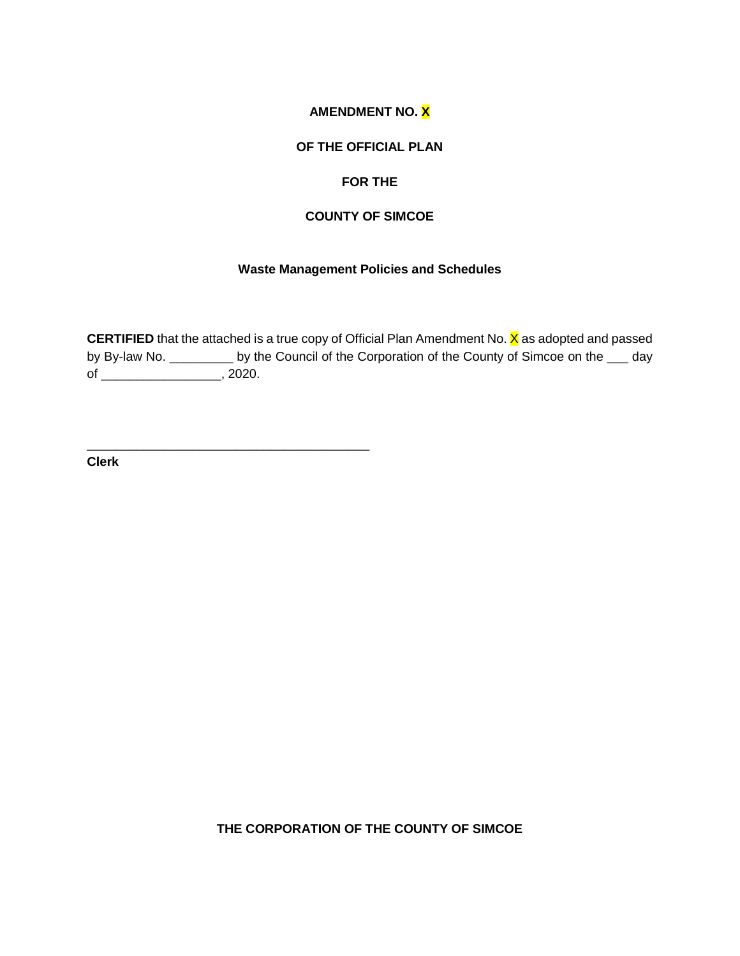## **AMENDMENT NO. X**

### **OF THE OFFICIAL PLAN**

#### **FOR THE**

### **COUNTY OF SIMCOE**

#### **Waste Management Policies and Schedules**

**CERTIFIED** that the attached is a true copy of Official Plan Amendment No. X as adopted and passed by By-law No. \_\_\_\_\_\_\_\_\_ by the Council of the Corporation of the County of Simcoe on the \_\_\_ day of \_\_\_\_\_\_\_\_\_\_\_\_\_\_\_\_\_, 2020.

\_\_\_\_\_\_\_\_\_\_\_\_\_\_\_\_\_\_\_\_\_\_\_\_\_\_\_\_\_\_\_\_\_\_\_\_\_\_\_\_ **Clerk**

**THE CORPORATION OF THE COUNTY OF SIMCOE**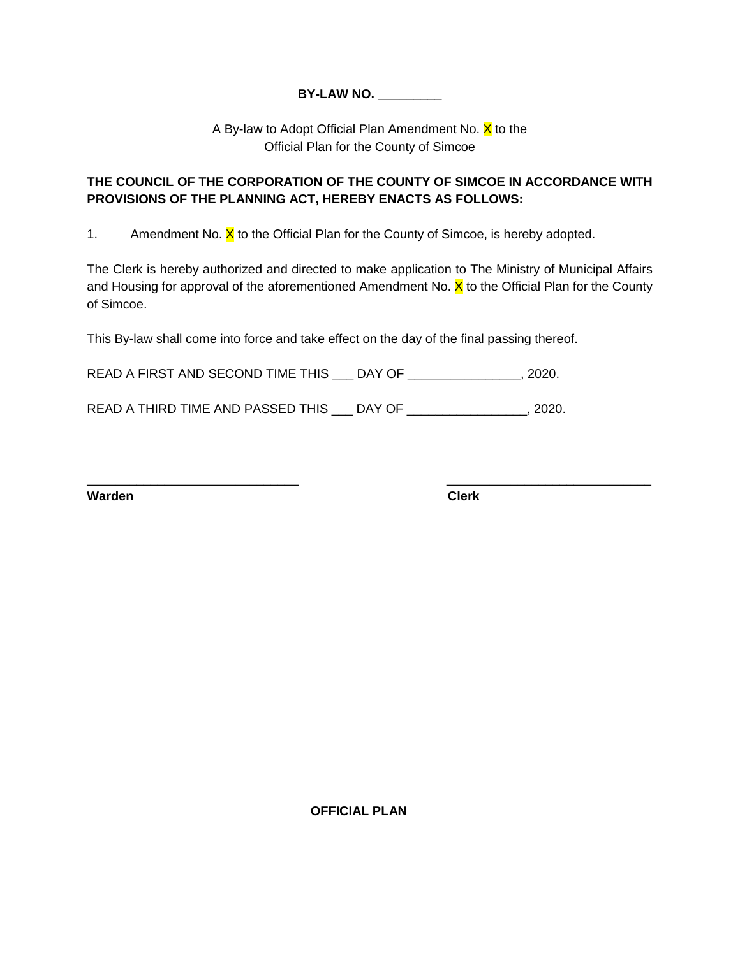## **BY-LAW NO. \_\_\_\_\_\_\_\_\_**

A By-law to Adopt Official Plan Amendment No. X to the Official Plan for the County of Simcoe

# **THE COUNCIL OF THE CORPORATION OF THE COUNTY OF SIMCOE IN ACCORDANCE WITH PROVISIONS OF THE PLANNING ACT, HEREBY ENACTS AS FOLLOWS:**

1. Amendment No.  $\overline{X}$  to the Official Plan for the County of Simcoe, is hereby adopted.

The Clerk is hereby authorized and directed to make application to The Ministry of Municipal Affairs and Housing for approval of the aforementioned Amendment No.  $\bar{x}$  to the Official Plan for the County of Simcoe.

\_\_\_\_\_\_\_\_\_\_\_\_\_\_\_\_\_\_\_\_\_\_\_\_\_\_\_\_\_\_ \_\_\_\_\_\_\_\_\_\_\_\_\_\_\_\_\_\_\_\_\_\_\_\_\_\_\_\_\_

This By-law shall come into force and take effect on the day of the final passing thereof.

READ A FIRST AND SECOND TIME THIS \_\_\_ DAY OF \_\_\_\_\_\_\_\_\_\_\_\_\_\_\_, 2020.

READ A THIRD TIME AND PASSED THIS \_\_\_ DAY OF \_\_\_\_\_\_\_\_\_\_\_\_\_\_\_\_\_, 2020.

**Warden Clerk**

**OFFICIAL PLAN**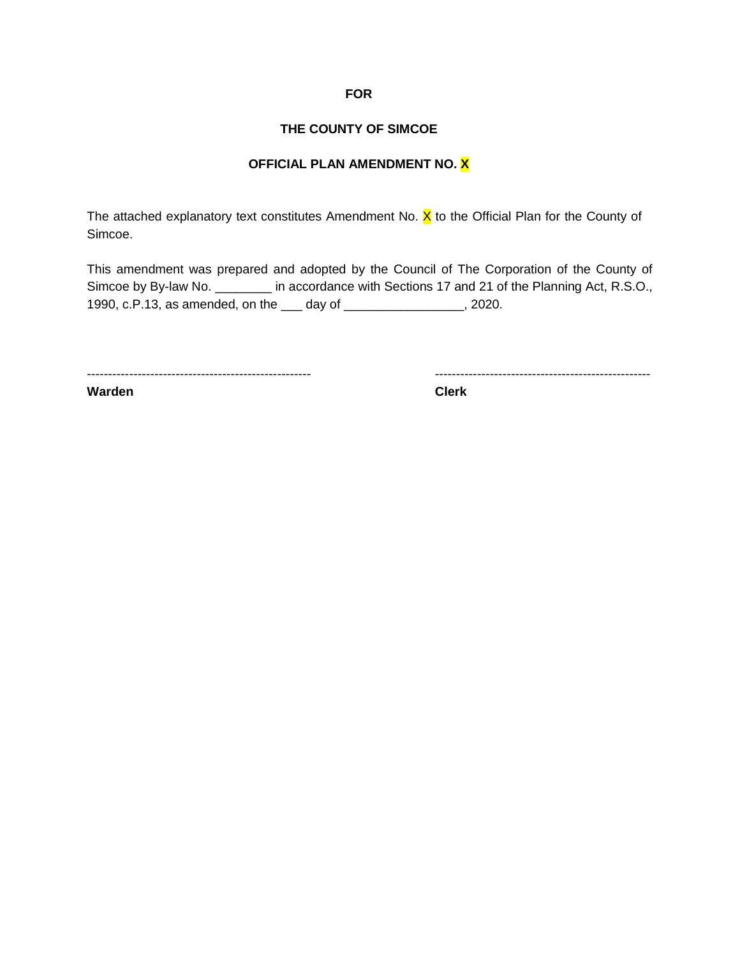### **FOR**

### **THE COUNTY OF SIMCOE**

# **OFFICIAL PLAN AMENDMENT NO. X**

The attached explanatory text constitutes Amendment No.  $X$  to the Official Plan for the County of Simcoe.

This amendment was prepared and adopted by the Council of The Corporation of the County of Simcoe by By-law No. \_\_\_\_\_\_\_\_ in accordance with Sections 17 and 21 of the Planning Act, R.S.O., 1990, c.P.13, as amended, on the \_\_\_ day of \_\_\_\_\_\_\_\_\_\_\_\_\_\_\_\_\_, 2020.

----------------------------------------------------- ---------------------------------------------------

**Warden Clerk**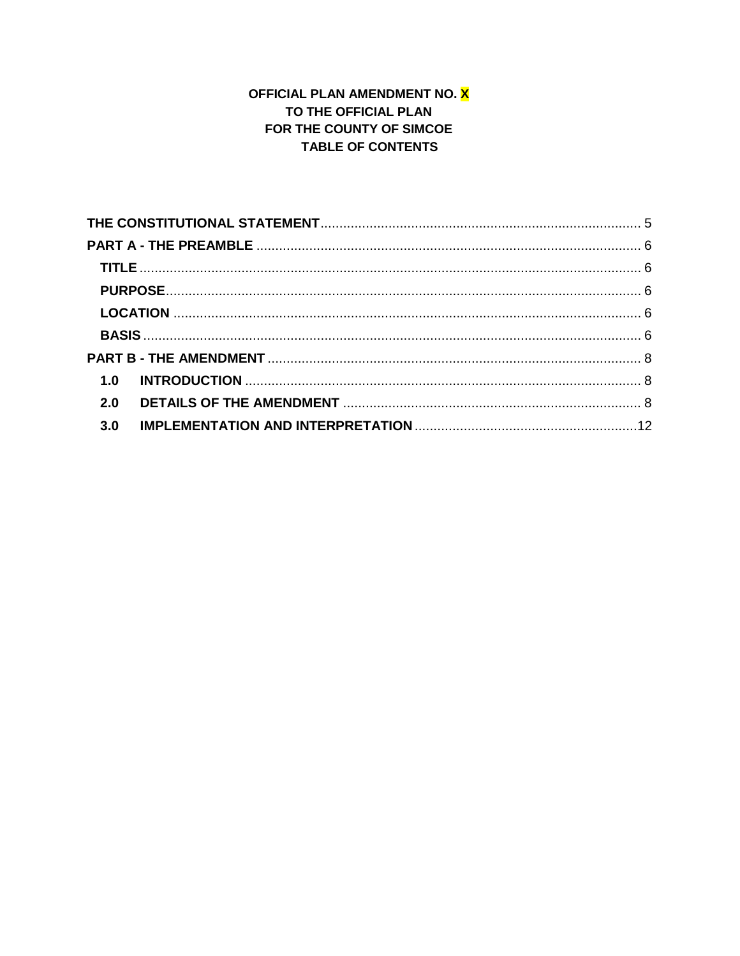# OFFICIAL PLAN AMENDMENT NO. X TO THE OFFICIAL PLAN FOR THE COUNTY OF SIMCOE **TABLE OF CONTENTS**

| 2.0 |
|-----|
| 3.0 |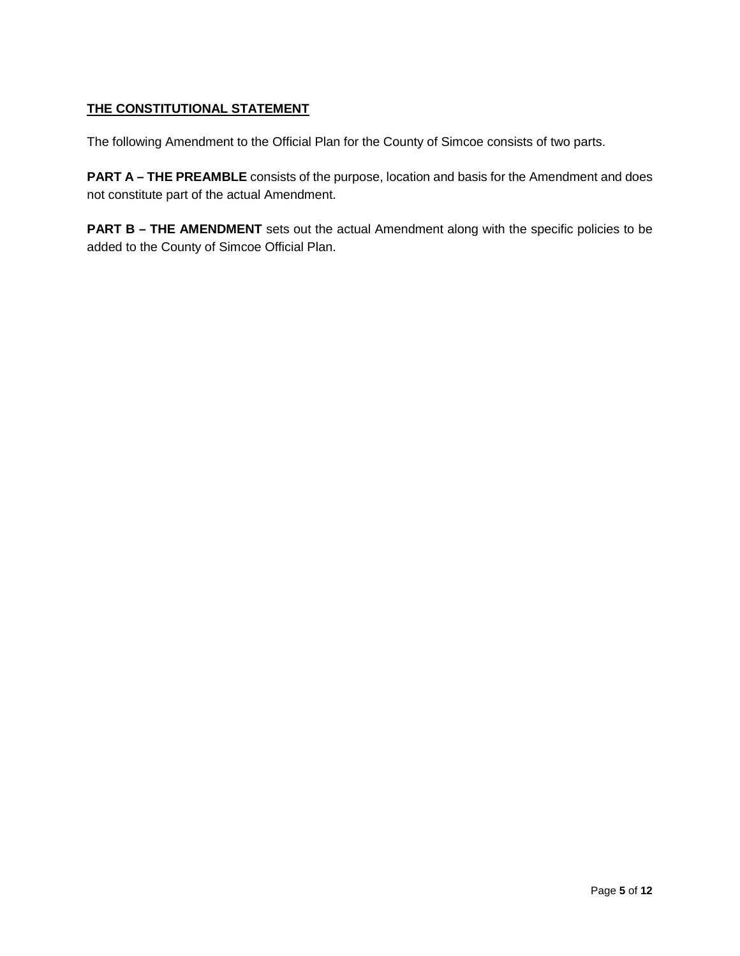# <span id="page-4-0"></span>**THE CONSTITUTIONAL STATEMENT**

The following Amendment to the Official Plan for the County of Simcoe consists of two parts.

**PART A – THE PREAMBLE** consists of the purpose, location and basis for the Amendment and does not constitute part of the actual Amendment.

**PART B – THE AMENDMENT** sets out the actual Amendment along with the specific policies to be added to the County of Simcoe Official Plan.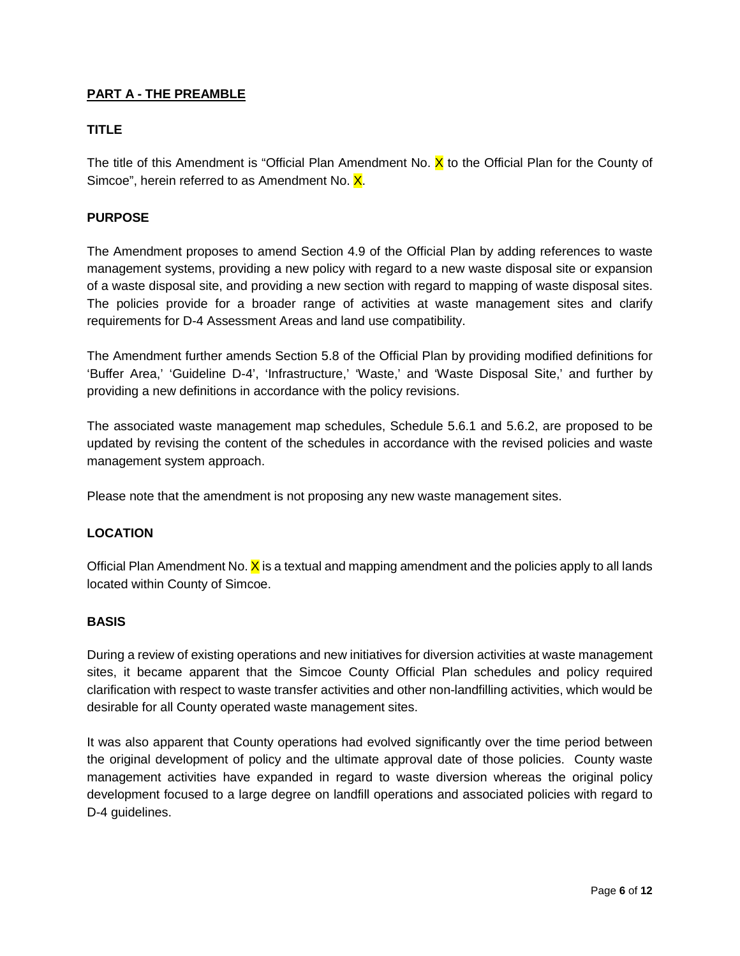### <span id="page-5-0"></span>**PART A - THE PREAMBLE**

## <span id="page-5-1"></span>**TITLE**

The title of this Amendment is "Official Plan Amendment No.  $\chi$  to the Official Plan for the County of Simcoe", herein referred to as Amendment No. X.

#### <span id="page-5-2"></span>**PURPOSE**

The Amendment proposes to amend Section 4.9 of the Official Plan by adding references to waste management systems, providing a new policy with regard to a new waste disposal site or expansion of a waste disposal site, and providing a new section with regard to mapping of waste disposal sites. The policies provide for a broader range of activities at waste management sites and clarify requirements for D-4 Assessment Areas and land use compatibility.

The Amendment further amends Section 5.8 of the Official Plan by providing modified definitions for 'Buffer Area,' 'Guideline D-4', 'Infrastructure,' 'Waste,' and 'Waste Disposal Site,' and further by providing a new definitions in accordance with the policy revisions.

The associated waste management map schedules, Schedule 5.6.1 and 5.6.2, are proposed to be updated by revising the content of the schedules in accordance with the revised policies and waste management system approach.

Please note that the amendment is not proposing any new waste management sites.

#### <span id="page-5-3"></span>**LOCATION**

Official Plan Amendment No.  $X$  is a textual and mapping amendment and the policies apply to all lands located within County of Simcoe.

#### <span id="page-5-4"></span>**BASIS**

During a review of existing operations and new initiatives for diversion activities at waste management sites, it became apparent that the Simcoe County Official Plan schedules and policy required clarification with respect to waste transfer activities and other non-landfilling activities, which would be desirable for all County operated waste management sites.

It was also apparent that County operations had evolved significantly over the time period between the original development of policy and the ultimate approval date of those policies. County waste management activities have expanded in regard to waste diversion whereas the original policy development focused to a large degree on landfill operations and associated policies with regard to D-4 guidelines.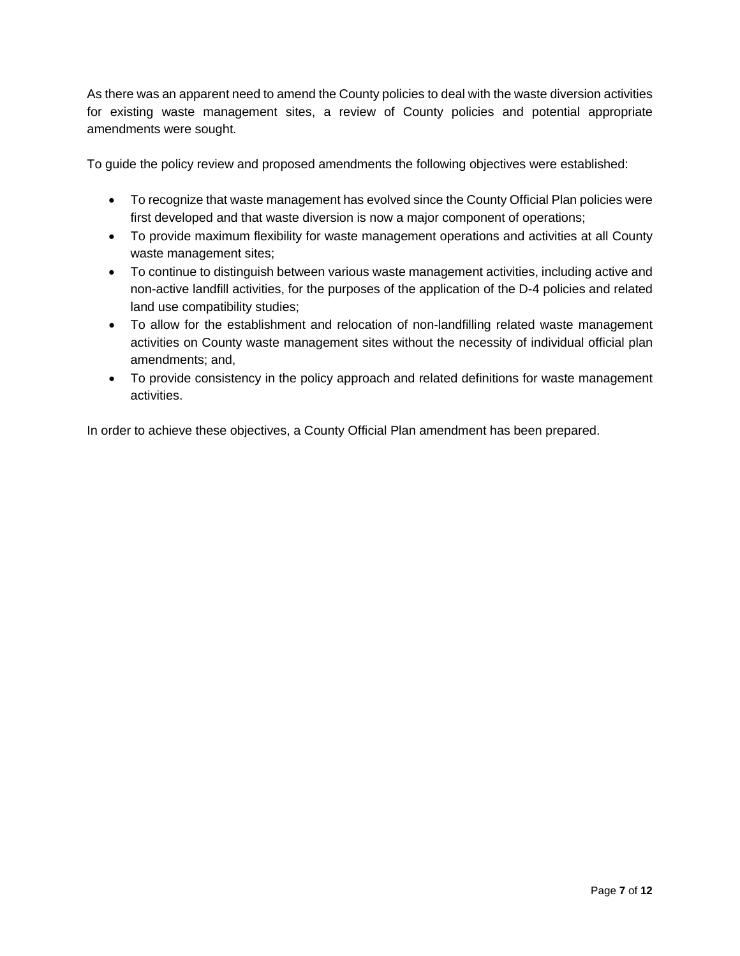As there was an apparent need to amend the County policies to deal with the waste diversion activities for existing waste management sites, a review of County policies and potential appropriate amendments were sought.

To guide the policy review and proposed amendments the following objectives were established:

- To recognize that waste management has evolved since the County Official Plan policies were first developed and that waste diversion is now a major component of operations;
- To provide maximum flexibility for waste management operations and activities at all County waste management sites;
- To continue to distinguish between various waste management activities, including active and non-active landfill activities, for the purposes of the application of the D-4 policies and related land use compatibility studies;
- To allow for the establishment and relocation of non-landfilling related waste management activities on County waste management sites without the necessity of individual official plan amendments; and,
- To provide consistency in the policy approach and related definitions for waste management activities.

In order to achieve these objectives, a County Official Plan amendment has been prepared.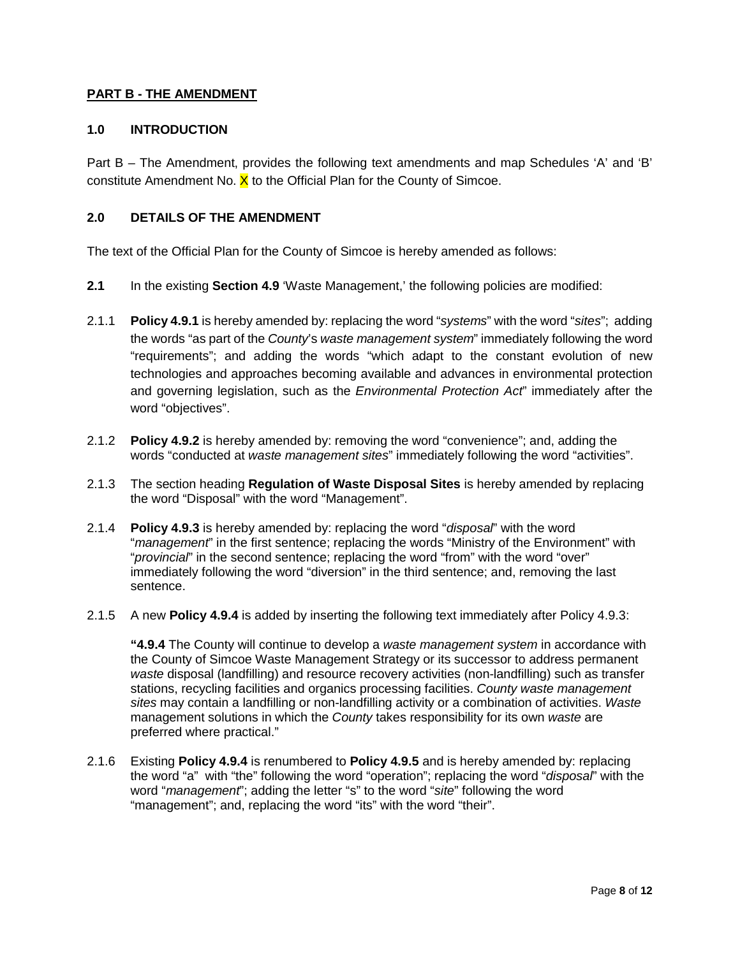### <span id="page-7-0"></span>**PART B - THE AMENDMENT**

#### <span id="page-7-1"></span>**1.0 INTRODUCTION**

Part B – The Amendment, provides the following text amendments and map Schedules 'A' and 'B' constitute Amendment No.  $X$  to the Official Plan for the County of Simcoe.

#### <span id="page-7-2"></span>**2.0 DETAILS OF THE AMENDMENT**

The text of the Official Plan for the County of Simcoe is hereby amended as follows:

- **2.1** In the existing **Section 4.9** 'Waste Management,' the following policies are modified:
- 2.1.1 **Policy 4.9.1** is hereby amended by: replacing the word "*systems*" with the word "*sites*"; adding the words "as part of the *County*'s *waste management system*" immediately following the word "requirements"; and adding the words "which adapt to the constant evolution of new technologies and approaches becoming available and advances in environmental protection and governing legislation, such as the *Environmental Protection Act*" immediately after the word "objectives".
- 2.1.2 **Policy 4.9.2** is hereby amended by: removing the word "convenience"; and, adding the words "conducted at *waste management sites*" immediately following the word "activities".
- 2.1.3 The section heading **Regulation of Waste Disposal Sites** is hereby amended by replacing the word "Disposal" with the word "Management".
- 2.1.4 **Policy 4.9.3** is hereby amended by: replacing the word "*disposal*" with the word "*management*" in the first sentence; replacing the words "Ministry of the Environment" with "*provincial*" in the second sentence; replacing the word "from" with the word "over" immediately following the word "diversion" in the third sentence; and, removing the last sentence.
- 2.1.5 A new **Policy 4.9.4** is added by inserting the following text immediately after Policy 4.9.3:

**"4.9.4** The County will continue to develop a *waste management system* in accordance with the County of Simcoe Waste Management Strategy or its successor to address permanent *waste* disposal (landfilling) and resource recovery activities (non-landfilling) such as transfer stations, recycling facilities and organics processing facilities. *County waste management sites* may contain a landfilling or non-landfilling activity or a combination of activities. *Waste* management solutions in which the *County* takes responsibility for its own *waste* are preferred where practical."

2.1.6 Existing **Policy 4.9.4** is renumbered to **Policy 4.9.5** and is hereby amended by: replacing the word "a" with "the" following the word "operation"; replacing the word "*disposal*" with the word "*management*"; adding the letter "s" to the word "*site*" following the word "management"; and, replacing the word "its" with the word "their".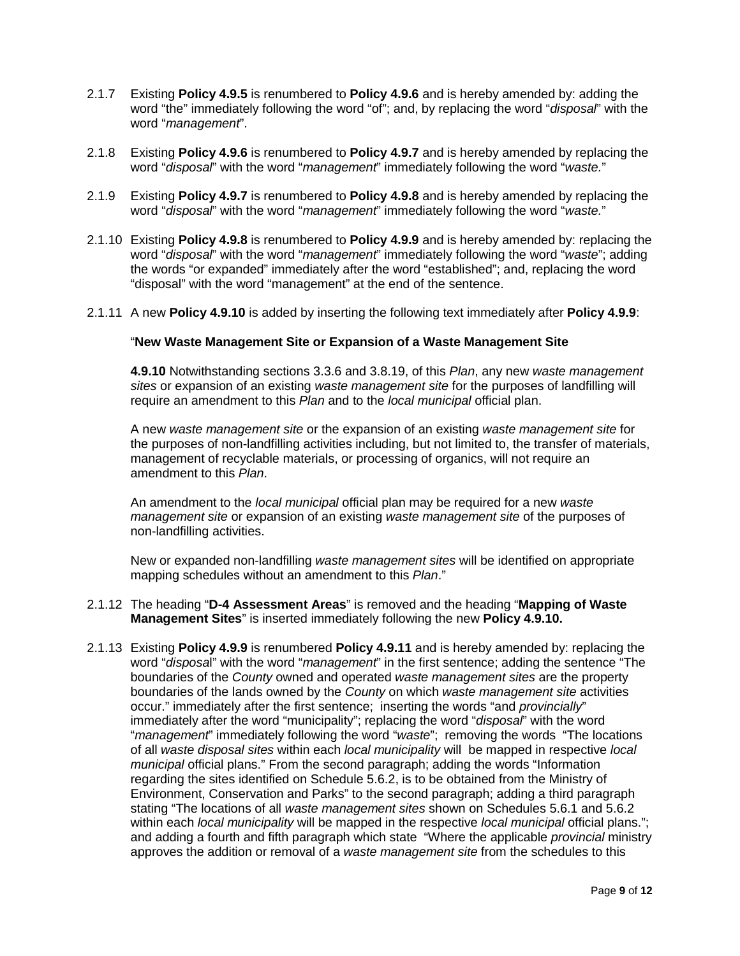- 2.1.7 Existing **Policy 4.9.5** is renumbered to **Policy 4.9.6** and is hereby amended by: adding the word "the" immediately following the word "of"; and, by replacing the word "*disposal*" with the word "*management*".
- 2.1.8 Existing **Policy 4.9.6** is renumbered to **Policy 4.9.7** and is hereby amended by replacing the word "*disposal*" with the word "*management*" immediately following the word "*waste.*"
- 2.1.9 Existing **Policy 4.9.7** is renumbered to **Policy 4.9.8** and is hereby amended by replacing the word "*disposal*" with the word "*management*" immediately following the word "*waste.*"
- 2.1.10 Existing **Policy 4.9.8** is renumbered to **Policy 4.9.9** and is hereby amended by: replacing the word "*disposal*" with the word "*management*" immediately following the word "*waste*"; adding the words "or expanded" immediately after the word "established"; and, replacing the word "disposal" with the word "management" at the end of the sentence.
- 2.1.11 A new **Policy 4.9.10** is added by inserting the following text immediately after **Policy 4.9.9**:

#### "**New Waste Management Site or Expansion of a Waste Management Site**

**4.9.10** Notwithstanding sections 3.3.6 and 3.8.19, of this *Plan*, any new *waste management sites* or expansion of an existing *waste management site* for the purposes of landfilling will require an amendment to this *Plan* and to the *local municipal* official plan.

A new *waste management site* or the expansion of an existing *waste management site* for the purposes of non-landfilling activities including, but not limited to, the transfer of materials, management of recyclable materials, or processing of organics, will not require an amendment to this *Plan*.

An amendment to the *local municipal* official plan may be required for a new *waste management site* or expansion of an existing *waste management site* of the purposes of non-landfilling activities.

New or expanded non-landfilling *waste management sites* will be identified on appropriate mapping schedules without an amendment to this *Plan*."

- 2.1.12 The heading "**D-4 Assessment Areas**" is removed and the heading "**Mapping of Waste Management Sites**" is inserted immediately following the new **Policy 4.9.10.**
- 2.1.13 Existing **Policy 4.9.9** is renumbered **Policy 4.9.11** and is hereby amended by: replacing the word "*disposa*l" with the word "*management*" in the first sentence; adding the sentence "The boundaries of the *County* owned and operated *waste management sites* are the property boundaries of the lands owned by the *County* on which *waste management site* activities occur." immediately after the first sentence; inserting the words "and *provincially*" immediately after the word "municipality"; replacing the word "*disposal*" with the word "*management*" immediately following the word "*waste*"; removing the words "The locations of all *waste disposal sites* within each *local municipality* will be mapped in respective *local municipal* official plans." From the second paragraph; adding the words "Information regarding the sites identified on Schedule 5.6.2, is to be obtained from the Ministry of Environment, Conservation and Parks" to the second paragraph; adding a third paragraph stating "The locations of all *waste management sites* shown on Schedules 5.6.1 and 5.6.2 within each *local municipality* will be mapped in the respective *local municipal* official plans."; and adding a fourth and fifth paragraph which state "Where the applicable *provincial* ministry approves the addition or removal of a *waste management site* from the schedules to this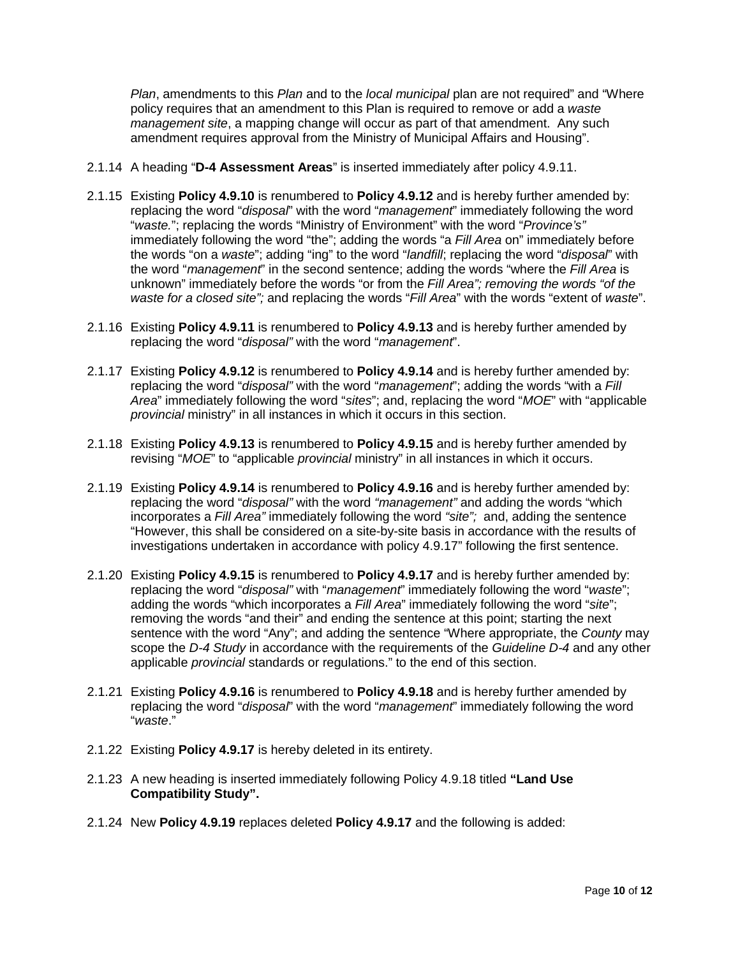*Plan*, amendments to this *Plan* and to the *local municipal* plan are not required" and "Where policy requires that an amendment to this Plan is required to remove or add a *waste management site*, a mapping change will occur as part of that amendment. Any such amendment requires approval from the Ministry of Municipal Affairs and Housing".

- 2.1.14 A heading "**D-4 Assessment Areas**" is inserted immediately after policy 4.9.11.
- 2.1.15 Existing **Policy 4.9.10** is renumbered to **Policy 4.9.12** and is hereby further amended by: replacing the word "*disposal*" with the word "*management*" immediately following the word "*waste.*"; replacing the words "Ministry of Environment" with the word "*Province's"*  immediately following the word "the"; adding the words "a *Fill Area* on" immediately before the words "on a *waste*"; adding "ing" to the word "*landfill*; replacing the word "*disposal*" with the word "*management*" in the second sentence; adding the words "where the *Fill Area* is unknown" immediately before the words "or from the *Fill Area"; removing the words "of the waste for a closed site";* and replacing the words "*Fill Area*" with the words "extent of *waste*".
- 2.1.16 Existing **Policy 4.9.11** is renumbered to **Policy 4.9.13** and is hereby further amended by replacing the word "*disposal"* with the word "*management*".
- 2.1.17 Existing **Policy 4.9.12** is renumbered to **Policy 4.9.14** and is hereby further amended by: replacing the word "*disposal"* with the word "*management*"; adding the words "with a *Fill Area*" immediately following the word "*sites*"; and, replacing the word "*MOE*" with "applicable *provincial* ministry" in all instances in which it occurs in this section.
- 2.1.18 Existing **Policy 4.9.13** is renumbered to **Policy 4.9.15** and is hereby further amended by revising "*MOE*" to "applicable *provincial* ministry" in all instances in which it occurs.
- 2.1.19 Existing **Policy 4.9.14** is renumbered to **Policy 4.9.16** and is hereby further amended by: replacing the word "*disposal"* with the word *"management"* and adding the words "which incorporates a *Fill Area"* immediately following the word *"site";* and, adding the sentence "However, this shall be considered on a site-by-site basis in accordance with the results of investigations undertaken in accordance with policy 4.9.17" following the first sentence.
- 2.1.20 Existing **Policy 4.9.15** is renumbered to **Policy 4.9.17** and is hereby further amended by: replacing the word "*disposal"* with "*management*" immediately following the word "*waste*"; adding the words "which incorporates a *Fill Area*" immediately following the word "*site*"; removing the words "and their" and ending the sentence at this point; starting the next sentence with the word "Any"; and adding the sentence "Where appropriate, the *County* may scope the *D-4 Study* in accordance with the requirements of the *Guideline D-4* and any other applicable *provincial* standards or regulations." to the end of this section.
- 2.1.21 Existing **Policy 4.9.16** is renumbered to **Policy 4.9.18** and is hereby further amended by replacing the word "*disposal*" with the word "*management*" immediately following the word "*waste*."
- 2.1.22 Existing **Policy 4.9.17** is hereby deleted in its entirety.
- 2.1.23 A new heading is inserted immediately following Policy 4.9.18 titled **"Land Use Compatibility Study".**
- 2.1.24 New **Policy 4.9.19** replaces deleted **Policy 4.9.17** and the following is added: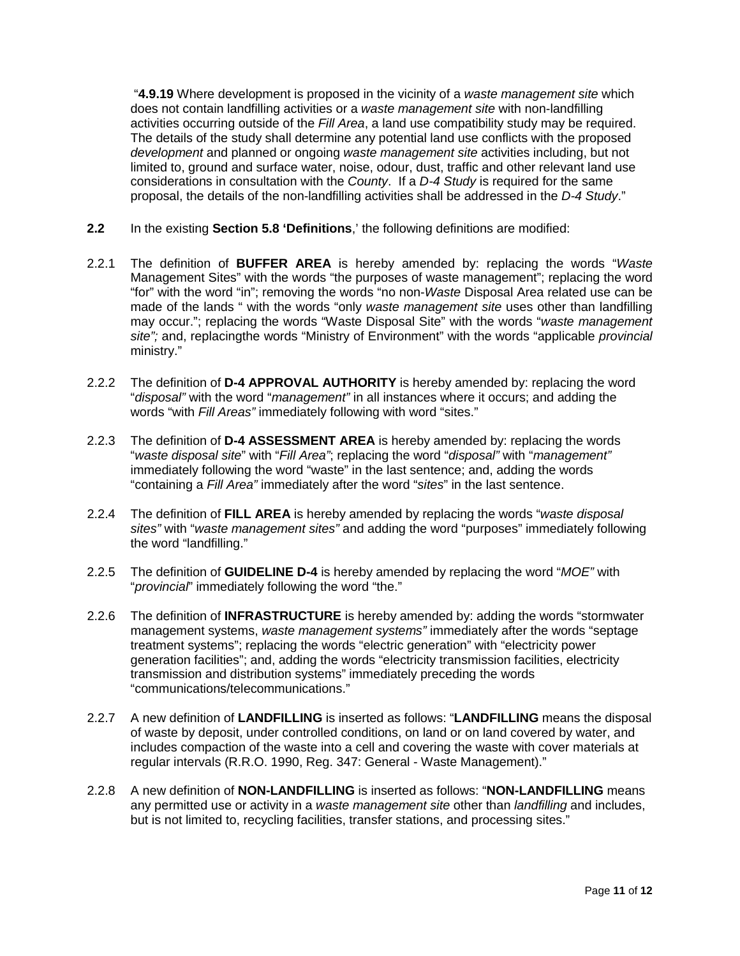"**4.9.19** Where development is proposed in the vicinity of a *waste management site* which does not contain landfilling activities or a *waste management site* with non-landfilling activities occurring outside of the *Fill Area*, a land use compatibility study may be required. The details of the study shall determine any potential land use conflicts with the proposed *development* and planned or ongoing *waste management site* activities including, but not limited to, ground and surface water, noise, odour, dust, traffic and other relevant land use considerations in consultation with the *County*. If a *D-4 Study* is required for the same proposal, the details of the non-landfilling activities shall be addressed in the *D-4 Study*."

- **2.2** In the existing **Section 5.8 'Definitions**,' the following definitions are modified:
- 2.2.1 The definition of **BUFFER AREA** is hereby amended by: replacing the words "*Waste* Management Sites" with the words "the purposes of waste management"; replacing the word "for" with the word "in"; removing the words "no non-*Waste* Disposal Area related use can be made of the lands " with the words "only *waste management site* uses other than landfilling may occur."; replacing the words "Waste Disposal Site" with the words "*waste management site";* and, replacingthe words "Ministry of Environment" with the words "applicable *provincial*  ministry."
- 2.2.2 The definition of **D-4 APPROVAL AUTHORITY** is hereby amended by: replacing the word "*disposal"* with the word "*management"* in all instances where it occurs; and adding the words "with *Fill Areas"* immediately following with word "sites."
- 2.2.3 The definition of **D-4 ASSESSMENT AREA** is hereby amended by: replacing the words "*waste disposal site*" with "*Fill Area"*; replacing the word "*disposal"* with "*management"*  immediately following the word "waste" in the last sentence; and, adding the words "containing a *Fill Area"* immediately after the word "*sites*" in the last sentence.
- 2.2.4 The definition of **FILL AREA** is hereby amended by replacing the words "*waste disposal sites"* with "*waste management sites"* and adding the word "purposes" immediately following the word "landfilling."
- 2.2.5 The definition of **GUIDELINE D-4** is hereby amended by replacing the word "*MOE"* with "*provincial*" immediately following the word "the."
- 2.2.6 The definition of **INFRASTRUCTURE** is hereby amended by: adding the words "stormwater management systems, *waste management systems"* immediately after the words "septage treatment systems"; replacing the words "electric generation" with "electricity power generation facilities"; and, adding the words "electricity transmission facilities, electricity transmission and distribution systems" immediately preceding the words "communications/telecommunications."
- 2.2.7 A new definition of **LANDFILLING** is inserted as follows: "**LANDFILLING** means the disposal of waste by deposit, under controlled conditions, on land or on land covered by water, and includes compaction of the waste into a cell and covering the waste with cover materials at regular intervals (R.R.O. 1990, Reg. 347: General - Waste Management)."
- 2.2.8 A new definition of **NON-LANDFILLING** is inserted as follows: "**NON-LANDFILLING** means any permitted use or activity in a *waste management site* other than *landfilling* and includes, but is not limited to, recycling facilities, transfer stations, and processing sites."